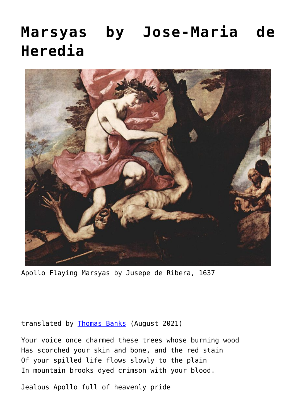## **[Marsyas by Jose-Maria de](https://www.newenglishreview.org/articles/marsyas-by-jose-maria-de-heredia/) [Heredia](https://www.newenglishreview.org/articles/marsyas-by-jose-maria-de-heredia/)**



Apollo Flaying Marsyas by Jusepe de Ribera, 1637

translated by [Thomas Banks](https://www.newenglishreview.org/authors/thomas-banks/?) (August 2021)

Your voice once charmed these trees whose burning wood Has scorched your skin and bone, and the red stain Of your spilled life flows slowly to the plain In mountain brooks dyed crimson with your blood.

Jealous Apollo full of heavenly pride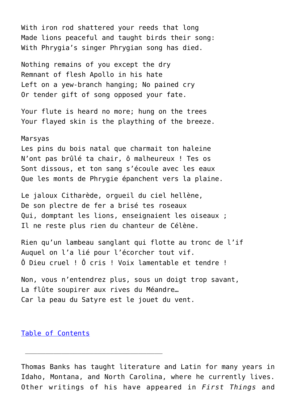With iron rod shattered your reeds that long Made lions peaceful and taught birds their song: With Phrygia's singer Phrygian song has died.

Nothing remains of you except the dry Remnant of flesh Apollo in his hate Left on a yew-branch hanging; No pained cry Or tender gift of song opposed your fate.

Your flute is heard no more; hung on the trees Your flayed skin is the plaything of the breeze.

## Marsyas

Les pins du bois natal que charmait ton haleine N'ont pas brûlé ta chair, ô malheureux ! Tes os Sont dissous, et ton sang s'écoule avec les eaux Que les monts de Phrygie épanchent vers la plaine.

Le jaloux Citharède, orgueil du ciel hellène, De son plectre de fer a brisé tes roseaux Qui, domptant les lions, enseignaient les oiseaux ; Il ne reste plus rien du chanteur de Célène.

Rien qu'un lambeau sanglant qui flotte au tronc de l'if Auquel on l'a lié pour l'écorcher tout vif. Ô Dieu cruel ! Ô cris ! Voix lamentable et tendre !

Non, vous n'entendrez plus, sous un doigt trop savant, La flûte soupirer aux rives du Méandre… Car la peau du Satyre est le jouet du vent.

## [Table of Contents](https://www.newenglishreview.org/)

 $\overline{\phantom{a}}$  ,  $\overline{\phantom{a}}$  ,  $\overline{\phantom{a}}$  ,  $\overline{\phantom{a}}$  ,  $\overline{\phantom{a}}$  ,  $\overline{\phantom{a}}$  ,  $\overline{\phantom{a}}$  ,  $\overline{\phantom{a}}$  ,  $\overline{\phantom{a}}$  ,  $\overline{\phantom{a}}$  ,  $\overline{\phantom{a}}$  ,  $\overline{\phantom{a}}$  ,  $\overline{\phantom{a}}$  ,  $\overline{\phantom{a}}$  ,  $\overline{\phantom{a}}$  ,  $\overline{\phantom{a}}$ 

Thomas Banks has taught literature and Latin for many years in Idaho, Montana, and North Carolina, where he currently lives. Other writings of his have appeared in *First Things* and